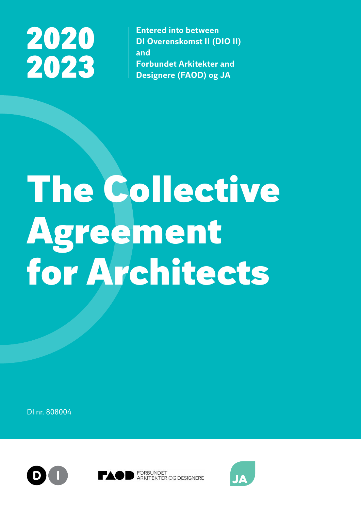## 2020 2023

**Entered into between DI Overenskomst II (DIO II) and Forbundet Arkitekter and Designere (FAOD) og JA**

# The Collective Agreement for Architects

DI nr. 808004







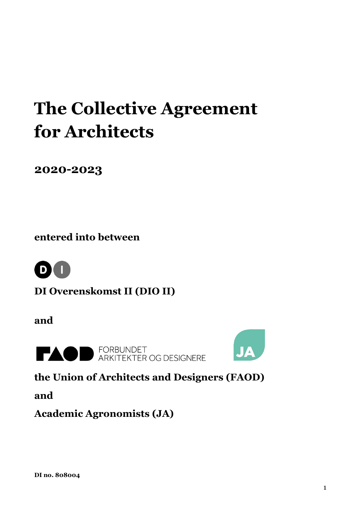### **The Collective Agreement for Architects**

**2020-2023**

**entered into between** 



**DI Overenskomst II (DIO II)**

**and**



**EXAMPLE ARKITEKTER OG DESIGNERE** 



**the Union of Architects and Designers (FAOD)** 

**and** 

**Academic Agronomists (JA)**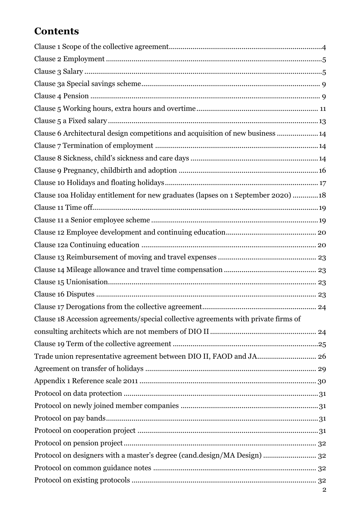#### **Contents**

| Clause 6 Architectural design competitions and acquisition of new business 14      |
|------------------------------------------------------------------------------------|
|                                                                                    |
|                                                                                    |
|                                                                                    |
|                                                                                    |
| Clause 10a Holiday entitlement for new graduates (lapses on 1 September 2020) 18   |
|                                                                                    |
|                                                                                    |
|                                                                                    |
|                                                                                    |
|                                                                                    |
|                                                                                    |
|                                                                                    |
|                                                                                    |
|                                                                                    |
| Clause 18 Accession agreements/special collective agreements with private firms of |
|                                                                                    |
|                                                                                    |
| Trade union representative agreement between DIO II, FAOD and JA 26                |
|                                                                                    |
|                                                                                    |
|                                                                                    |
|                                                                                    |
|                                                                                    |
|                                                                                    |
|                                                                                    |
| Protocol on designers with a master's degree (cand.design/MA Design)  32           |
|                                                                                    |
|                                                                                    |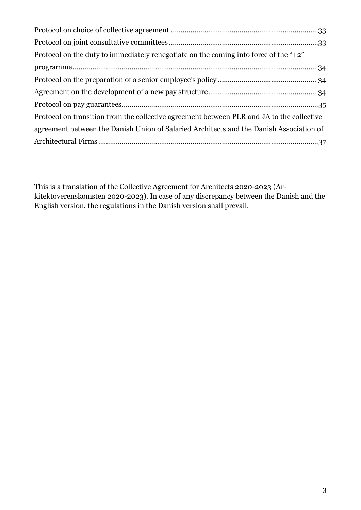| Protocol on the duty to immediately renegotiate on the coming into force of the " $+2$ "  |
|-------------------------------------------------------------------------------------------|
|                                                                                           |
|                                                                                           |
|                                                                                           |
|                                                                                           |
| Protocol on transition from the collective agreement between PLR and JA to the collective |
| agreement between the Danish Union of Salaried Architects and the Danish Association of   |
|                                                                                           |

This is a translation of the Collective Agreement for Architects 2020-2023 (Arkitektoverenskomsten 2020-2023). In case of any discrepancy between the Danish and the English version, the regulations in the Danish version shall prevail.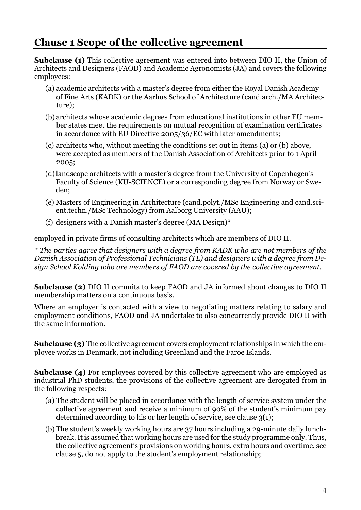#### <span id="page-4-0"></span>**Clause 1 Scope of the collective agreement**

**Subclause (1)** This collective agreement was entered into between DIO II, the Union of Architects and Designers (FAOD) and Academic Agronomists (JA) and covers the following employees:

- (a) academic architects with a master's degree from either the Royal Danish Academy of Fine Arts (KADK) or the Aarhus School of Architecture (cand.arch./MA Architecture);
- (b) architects whose academic degrees from educational institutions in other EU member states meet the requirements on mutual recognition of examination certificates in accordance with EU Directive 2005/36/EC with later amendments;
- (c) architects who, without meeting the conditions set out in items (a) or (b) above, were accepted as members of the Danish Association of Architects prior to 1 April 2005;
- (d)landscape architects with a master's degree from the University of Copenhagen's Faculty of Science (KU-SCIENCE) or a corresponding degree from Norway or Sweden;
- (e) Masters of Engineering in Architecture (cand.polyt./MSc Engineering and cand.scient.techn./MSc Technology) from Aalborg University (AAU);
- (f) designers with a Danish master's degree (MA Design)\*

employed in private firms of consulting architects which are members of DIO II.

*\* The parties agree that designers with a degree from KADK who are not members of the Danish Association of Professional Technicians (TL) and designers with a degree from Design School Kolding who are members of FAOD are covered by the collective agreement.*

**Subclause (2)** DIO II commits to keep FAOD and JA informed about changes to DIO II membership matters on a continuous basis.

Where an employer is contacted with a view to negotiating matters relating to salary and employment conditions, FAOD and JA undertake to also concurrently provide DIO II with the same information.

**Subclause (3)** The collective agreement covers employment relationships in which the employee works in Denmark, not including Greenland and the Faroe Islands.

**Subclause (4)** For employees covered by this collective agreement who are employed as industrial PhD students, the provisions of the collective agreement are derogated from in the following respects:

- (a) The student will be placed in accordance with the length of service system under the collective agreement and receive a minimum of 90% of the student's minimum pay determined according to his or her length of service, see clause  $3(1)$ ;
- (b) The student's weekly working hours are 37 hours including a 29-minute daily lunchbreak. It is assumed that working hours are used for the study programme only. Thus, the collective agreement's provisions on working hours, extra hours and overtime, see clause 5, do not apply to the student's employment relationship;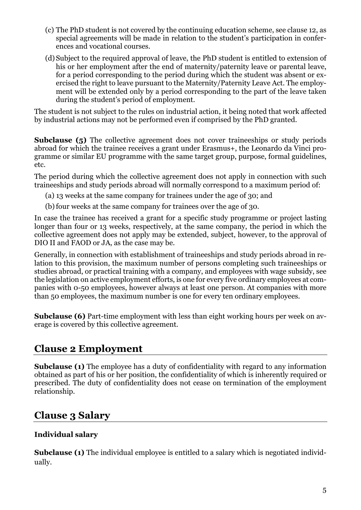- (c) The PhD student is not covered by the continuing education scheme, see clause 12, as special agreements will be made in relation to the student's participation in conferences and vocational courses.
- (d) Subject to the required approval of leave, the PhD student is entitled to extension of his or her employment after the end of maternity/paternity leave or parental leave, for a period corresponding to the period during which the student was absent or exercised the right to leave pursuant to the Maternity/Paternity Leave Act. The employment will be extended only by a period corresponding to the part of the leave taken during the student's period of employment.

The student is not subject to the rules on industrial action, it being noted that work affected by industrial actions may not be performed even if comprised by the PhD granted.

**Subclause** (5) The collective agreement does not cover traineeships or study periods abroad for which the trainee receives a grant under Erasmus+, the Leonardo da Vinci programme or similar EU programme with the same target group, purpose, formal guidelines, etc.

The period during which the collective agreement does not apply in connection with such traineeships and study periods abroad will normally correspond to a maximum period of:

(a) 13 weeks at the same company for trainees under the age of 30; and

(b) four weeks at the same company for trainees over the age of 30.

In case the trainee has received a grant for a specific study programme or project lasting longer than four or 13 weeks, respectively, at the same company, the period in which the collective agreement does not apply may be extended, subject, however, to the approval of DIO II and FAOD or JA, as the case may be.

Generally, in connection with establishment of traineeships and study periods abroad in relation to this provision, the maximum number of persons completing such traineeships or studies abroad, or practical training with a company, and employees with wage subsidy, see the legislation on active employment efforts, is one for every five ordinary employees at companies with 0-50 employees, however always at least one person. At companies with more than 50 employees, the maximum number is one for every ten ordinary employees.

**Subclause (6)** Part-time employment with less than eight working hours per week on average is covered by this collective agreement.

#### <span id="page-5-0"></span>**Clause 2 Employment**

**Subclause (1)** The employee has a duty of confidentiality with regard to any information obtained as part of his or her position, the confidentiality of which is inherently required or prescribed. The duty of confidentiality does not cease on termination of the employment relationship.

#### <span id="page-5-1"></span>**Clause 3 Salary**

#### **Individual salary**

**Subclause (1)** The individual employee is entitled to a salary which is negotiated individually.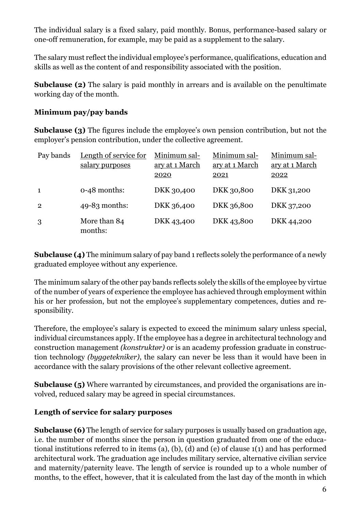The individual salary is a fixed salary, paid monthly. Bonus, performance-based salary or one-off remuneration, for example, may be paid as a supplement to the salary.

The salary must reflect the individual employee's performance, qualifications, education and skills as well as the content of and responsibility associated with the position.

**Subclause (2)** The salary is paid monthly in arrears and is available on the penultimate working day of the month.

#### **Minimum pay/pay bands**

**Subclause (3)** The figures include the employee's own pension contribution, but not the employer's pension contribution, under the collective agreement.

| Pay bands      | Length of service for<br>salary purposes | Minimum sal-<br>ary at 1 March<br>2020 | Minimum sal-<br>ary at 1 March<br>2021 | Minimum sal-<br>ary at 1 March<br>2022 |
|----------------|------------------------------------------|----------------------------------------|----------------------------------------|----------------------------------------|
| $\mathbf{1}$   | $0-48$ months:                           | DKK 30,400                             | DKK 30,800                             | DKK 31,200                             |
| $\overline{2}$ | $49-83$ months:                          | DKK 36,400                             | DKK 36,800                             | DKK 37,200                             |
| 3              | More than 84<br>months:                  | DKK 43,400                             | DKK 43,800                             | DKK 44,200                             |

**Subclause (4)** The minimum salary of pay band 1 reflects solely the performance of a newly graduated employee without any experience.

The minimum salary of the other pay bands reflects solely the skills of the employee by virtue of the number of years of experience the employee has achieved through employment within his or her profession, but not the employee's supplementary competences, duties and responsibility.

Therefore, the employee's salary is expected to exceed the minimum salary unless special, individual circumstances apply. If the employee has a degree in architectural technology and construction management *(konstruktør)* or is an academy profession graduate in construction technology *(byggetekniker)*, the salary can never be less than it would have been in accordance with the salary provisions of the other relevant collective agreement.

**Subclause (5)** Where warranted by circumstances, and provided the organisations are involved, reduced salary may be agreed in special circumstances.

#### **Length of service for salary purposes**

**Subclause (6)** The length of service for salary purposes is usually based on graduation age, i.e. the number of months since the person in question graduated from one of the educational institutions referred to in items (a), (b), (d) and (e) of clause 1(1) and has performed architectural work. The graduation age includes military service, alternative civilian service and maternity/paternity leave. The length of service is rounded up to a whole number of months, to the effect, however, that it is calculated from the last day of the month in which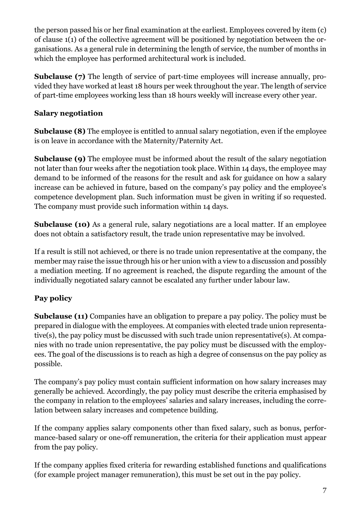the person passed his or her final examination at the earliest. Employees covered by item (c) of clause 1(1) of the collective agreement will be positioned by negotiation between the organisations. As a general rule in determining the length of service, the number of months in which the employee has performed architectural work is included.

**Subclause (7)** The length of service of part-time employees will increase annually, provided they have worked at least 18 hours per week throughout the year. The length of service of part-time employees working less than 18 hours weekly will increase every other year.

#### **Salary negotiation**

**Subclause (8)** The employee is entitled to annual salary negotiation, even if the employee is on leave in accordance with the Maternity/Paternity Act.

**Subclause (9)** The employee must be informed about the result of the salary negotiation not later than four weeks after the negotiation took place. Within 14 days, the employee may demand to be informed of the reasons for the result and ask for guidance on how a salary increase can be achieved in future, based on the company's pay policy and the employee's competence development plan. Such information must be given in writing if so requested. The company must provide such information within 14 days.

**Subclause (10)** As a general rule, salary negotiations are a local matter. If an employee does not obtain a satisfactory result, the trade union representative may be involved.

If a result is still not achieved, or there is no trade union representative at the company, the member may raise the issue through his or her union with a view to a discussion and possibly a mediation meeting. If no agreement is reached, the dispute regarding the amount of the individually negotiated salary cannot be escalated any further under labour law.

#### **Pay policy**

**Subclause (11)** Companies have an obligation to prepare a pay policy. The policy must be prepared in dialogue with the employees. At companies with elected trade union representative(s), the pay policy must be discussed with such trade union representative(s). At companies with no trade union representative, the pay policy must be discussed with the employees. The goal of the discussions is to reach as high a degree of consensus on the pay policy as possible.

The company's pay policy must contain sufficient information on how salary increases may generally be achieved. Accordingly, the pay policy must describe the criteria emphasised by the company in relation to the employees' salaries and salary increases, including the correlation between salary increases and competence building.

If the company applies salary components other than fixed salary, such as bonus, performance-based salary or one-off remuneration, the criteria for their application must appear from the pay policy.

If the company applies fixed criteria for rewarding established functions and qualifications (for example project manager remuneration), this must be set out in the pay policy.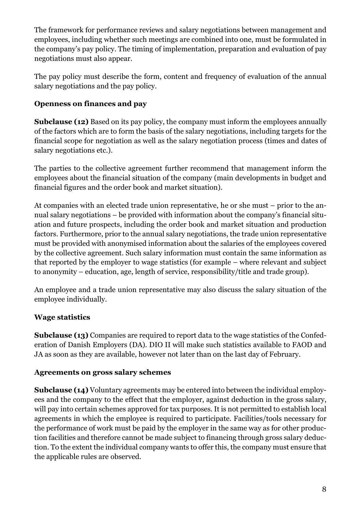The framework for performance reviews and salary negotiations between management and employees, including whether such meetings are combined into one, must be formulated in the company's pay policy. The timing of implementation, preparation and evaluation of pay negotiations must also appear.

The pay policy must describe the form, content and frequency of evaluation of the annual salary negotiations and the pay policy.

#### **Openness on finances and pay**

**Subclause (12)** Based on its pay policy, the company must inform the employees annually of the factors which are to form the basis of the salary negotiations, including targets for the financial scope for negotiation as well as the salary negotiation process (times and dates of salary negotiations etc.).

The parties to the collective agreement further recommend that management inform the employees about the financial situation of the company (main developments in budget and financial figures and the order book and market situation).

At companies with an elected trade union representative, he or she must – prior to the annual salary negotiations – be provided with information about the company's financial situation and future prospects, including the order book and market situation and production factors. Furthermore, prior to the annual salary negotiations, the trade union representative must be provided with anonymised information about the salaries of the employees covered by the collective agreement. Such salary information must contain the same information as that reported by the employer to wage statistics (for example – where relevant and subject to anonymity – education, age, length of service, responsibility/title and trade group).

An employee and a trade union representative may also discuss the salary situation of the employee individually.

#### **Wage statistics**

**Subclause (13)** Companies are required to report data to the wage statistics of the Confederation of Danish Employers (DA). DIO II will make such statistics available to FAOD and JA as soon as they are available, however not later than on the last day of February.

#### **Agreements on gross salary schemes**

**Subclause (14)** Voluntary agreements may be entered into between the individual employees and the company to the effect that the employer, against deduction in the gross salary, will pay into certain schemes approved for tax purposes. It is not permitted to establish local agreements in which the employee is required to participate. Facilities/tools necessary for the performance of work must be paid by the employer in the same way as for other production facilities and therefore cannot be made subject to financing through gross salary deduction. To the extent the individual company wants to offer this, the company must ensure that the applicable rules are observed.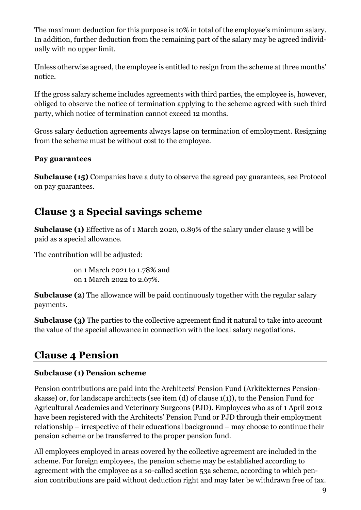The maximum deduction for this purpose is 10% in total of the employee's minimum salary. In addition, further deduction from the remaining part of the salary may be agreed individually with no upper limit.

Unless otherwise agreed, the employee is entitled to resign from the scheme at three months' notice.

If the gross salary scheme includes agreements with third parties, the employee is, however, obliged to observe the notice of termination applying to the scheme agreed with such third party, which notice of termination cannot exceed 12 months.

Gross salary deduction agreements always lapse on termination of employment. Resigning from the scheme must be without cost to the employee.

#### **Pay guarantees**

**Subclause (15)** Companies have a duty to observe the agreed pay guarantees, see Protocol on pay guarantees.

#### <span id="page-9-0"></span>**Clause 3 a Special savings scheme**

**Subclause (1)** Effective as of 1 March 2020, 0.89% of the salary under clause 3 will be paid as a special allowance.

The contribution will be adjusted:

on 1 March 2021 to 1.78% and on 1 March 2022 to 2.67%.

**Subclause (2)** The allowance will be paid continuously together with the regular salary payments.

**Subclause (3)** The parties to the collective agreement find it natural to take into account the value of the special allowance in connection with the local salary negotiations.

#### <span id="page-9-1"></span>**Clause 4 Pension**

#### **Subclause (1) Pension scheme**

Pension contributions are paid into the Architects' Pension Fund (Arkitekternes Pensionskasse) or, for landscape architects (see item (d) of clause 1(1)), to the Pension Fund for Agricultural Academics and Veterinary Surgeons (PJD). Employees who as of 1 April 2012 have been registered with the Architects' Pension Fund or PJD through their employment relationship – irrespective of their educational background – may choose to continue their pension scheme or be transferred to the proper pension fund.

All employees employed in areas covered by the collective agreement are included in the scheme. For foreign employees, the pension scheme may be established according to agreement with the employee as a so-called section 53a scheme, according to which pension contributions are paid without deduction right and may later be withdrawn free of tax.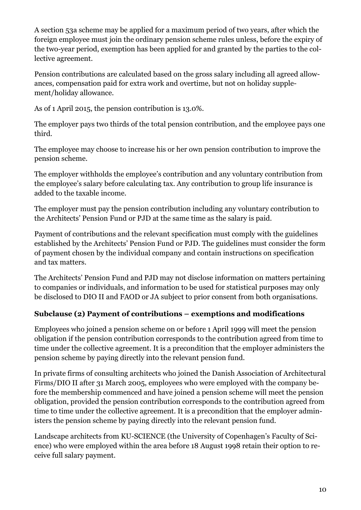A section 53a scheme may be applied for a maximum period of two years, after which the foreign employee must join the ordinary pension scheme rules unless, before the expiry of the two-year period, exemption has been applied for and granted by the parties to the collective agreement.

Pension contributions are calculated based on the gross salary including all agreed allowances, compensation paid for extra work and overtime, but not on holiday supplement/holiday allowance.

As of 1 April 2015, the pension contribution is 13.0%.

The employer pays two thirds of the total pension contribution, and the employee pays one third.

The employee may choose to increase his or her own pension contribution to improve the pension scheme.

The employer withholds the employee's contribution and any voluntary contribution from the employee's salary before calculating tax. Any contribution to group life insurance is added to the taxable income.

The employer must pay the pension contribution including any voluntary contribution to the Architects' Pension Fund or PJD at the same time as the salary is paid.

Payment of contributions and the relevant specification must comply with the guidelines established by the Architects' Pension Fund or PJD. The guidelines must consider the form of payment chosen by the individual company and contain instructions on specification and tax matters.

The Architects' Pension Fund and PJD may not disclose information on matters pertaining to companies or individuals, and information to be used for statistical purposes may only be disclosed to DIO II and FAOD or JA subject to prior consent from both organisations.

#### **Subclause (2) Payment of contributions – exemptions and modifications**

Employees who joined a pension scheme on or before 1 April 1999 will meet the pension obligation if the pension contribution corresponds to the contribution agreed from time to time under the collective agreement. It is a precondition that the employer administers the pension scheme by paying directly into the relevant pension fund.

In private firms of consulting architects who joined the Danish Association of Architectural Firms/DIO II after 31 March 2005, employees who were employed with the company before the membership commenced and have joined a pension scheme will meet the pension obligation, provided the pension contribution corresponds to the contribution agreed from time to time under the collective agreement. It is a precondition that the employer administers the pension scheme by paying directly into the relevant pension fund.

Landscape architects from KU-SCIENCE (the University of Copenhagen's Faculty of Science) who were employed within the area before 18 August 1998 retain their option to receive full salary payment.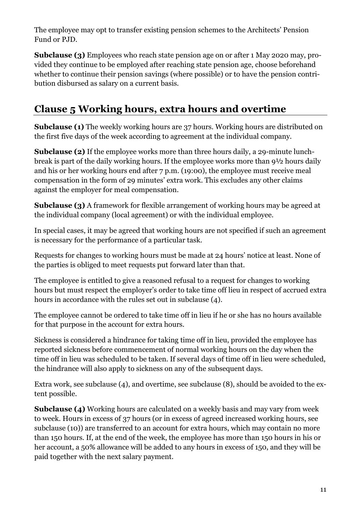The employee may opt to transfer existing pension schemes to the Architects' Pension Fund or PJD.

**Subclause (3)** Employees who reach state pension age on or after 1 May 2020 may, provided they continue to be employed after reaching state pension age, choose beforehand whether to continue their pension savings (where possible) or to have the pension contribution disbursed as salary on a current basis.

#### <span id="page-11-0"></span>**Clause 5 Working hours, extra hours and overtime**

**Subclause (1)** The weekly working hours are 37 hours. Working hours are distributed on the first five days of the week according to agreement at the individual company.

**Subclause (2)** If the employee works more than three hours daily, a 29-minute lunchbreak is part of the daily working hours. If the employee works more than 9½ hours daily and his or her working hours end after 7 p.m. (19:00), the employee must receive meal compensation in the form of 29 minutes' extra work. This excludes any other claims against the employer for meal compensation.

**Subclause (3)** A framework for flexible arrangement of working hours may be agreed at the individual company (local agreement) or with the individual employee.

In special cases, it may be agreed that working hours are not specified if such an agreement is necessary for the performance of a particular task.

Requests for changes to working hours must be made at 24 hours' notice at least. None of the parties is obliged to meet requests put forward later than that.

The employee is entitled to give a reasoned refusal to a request for changes to working hours but must respect the employer's order to take time off lieu in respect of accrued extra hours in accordance with the rules set out in subclause (4).

The employee cannot be ordered to take time off in lieu if he or she has no hours available for that purpose in the account for extra hours.

Sickness is considered a hindrance for taking time off in lieu, provided the employee has reported sickness before commencement of normal working hours on the day when the time off in lieu was scheduled to be taken. If several days of time off in lieu were scheduled, the hindrance will also apply to sickness on any of the subsequent days.

Extra work, see subclause (4), and overtime, see subclause (8), should be avoided to the extent possible.

**Subclause (4)** Working hours are calculated on a weekly basis and may vary from week to week. Hours in excess of 37 hours (or in excess of agreed increased working hours, see subclause (10)) are transferred to an account for extra hours, which may contain no more than 150 hours. If, at the end of the week, the employee has more than 150 hours in his or her account, a 50% allowance will be added to any hours in excess of 150, and they will be paid together with the next salary payment.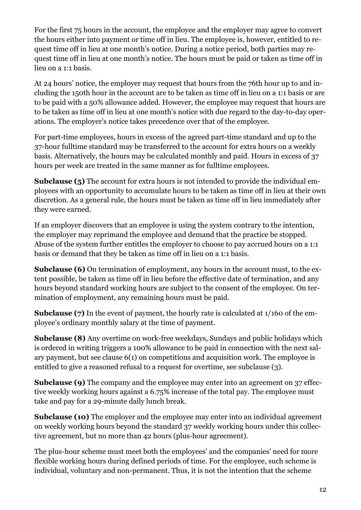For the first 75 hours in the account, the employee and the employer may agree to convert the hours either into payment or time off in lieu. The employee is, however, entitled to request time off in lieu at one month's notice. During a notice period, both parties may request time off in lieu at one month's notice. The hours must be paid or taken as time off in lieu on a 1:1 basis.

At 24 hours' notice, the employer may request that hours from the 76th hour up to and including the 150th hour in the account are to be taken as time off in lieu on a 1:1 basis or are to be paid with a 50% allowance added. However, the employee may request that hours are to be taken as time off in lieu at one month's notice with due regard to the day-to-day operations. The employer's notice takes precedence over that of the employee.

For part-time employees, hours in excess of the agreed part-time standard and up to the 37-hour fulltime standard may be transferred to the account for extra hours on a weekly basis. Alternatively, the hours may be calculated monthly and paid. Hours in excess of 37 hours per week are treated in the same manner as for fulltime employees.

**Subclause (5)** The account for extra hours is not intended to provide the individual employees with an opportunity to accumulate hours to be taken as time off in lieu at their own discretion. As a general rule, the hours must be taken as time off in lieu immediately after they were earned.

If an employer discovers that an employee is using the system contrary to the intention, the employer may reprimand the employee and demand that the practice be stopped. Abuse of the system further entitles the employer to choose to pay accrued hours on a 1:1 basis or demand that they be taken as time off in lieu on a 1:1 basis.

**Subclause (6)** On termination of employment, any hours in the account must, to the extent possible, be taken as time off in lieu before the effective date of termination, and any hours beyond standard working hours are subject to the consent of the employee. On termination of employment, any remaining hours must be paid.

**Subclause (7)** In the event of payment, the hourly rate is calculated at 1/160 of the employee's ordinary monthly salary at the time of payment.

**Subclause (8)** Any overtime on work-free weekdays, Sundays and public holidays which is ordered in writing triggers a 100% allowance to be paid in connection with the next salary payment, but see clause 6(1) on competitions and acquisition work. The employee is entitled to give a reasoned refusal to a request for overtime, see subclause (3).

**Subclause (9)** The company and the employee may enter into an agreement on 37 effective weekly working hours against a 6.75% increase of the total pay. The employee must take and pay for a 29-minute daily lunch break.

**Subclause (10)** The employer and the employee may enter into an individual agreement on weekly working hours beyond the standard 37 weekly working hours under this collective agreement, but no more than 42 hours (plus-hour agreement).

The plus-hour scheme must meet both the employees' and the companies' need for more flexible working hours during defined periods of time. For the employee, such scheme is individual, voluntary and non-permanent. Thus, it is not the intention that the scheme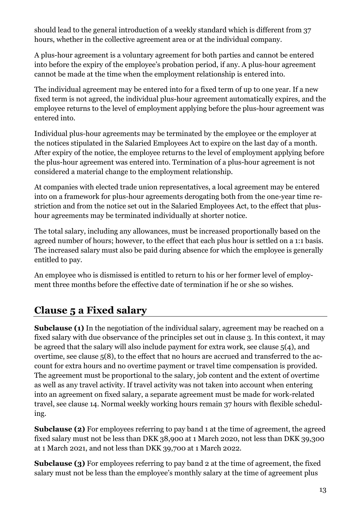should lead to the general introduction of a weekly standard which is different from 37 hours, whether in the collective agreement area or at the individual company.

A plus-hour agreement is a voluntary agreement for both parties and cannot be entered into before the expiry of the employee's probation period, if any. A plus-hour agreement cannot be made at the time when the employment relationship is entered into.

The individual agreement may be entered into for a fixed term of up to one year. If a new fixed term is not agreed, the individual plus-hour agreement automatically expires, and the employee returns to the level of employment applying before the plus-hour agreement was entered into.

Individual plus-hour agreements may be terminated by the employee or the employer at the notices stipulated in the Salaried Employees Act to expire on the last day of a month. After expiry of the notice, the employee returns to the level of employment applying before the plus-hour agreement was entered into. Termination of a plus-hour agreement is not considered a material change to the employment relationship.

At companies with elected trade union representatives, a local agreement may be entered into on a framework for plus-hour agreements derogating both from the one-year time restriction and from the notice set out in the Salaried Employees Act, to the effect that plushour agreements may be terminated individually at shorter notice.

The total salary, including any allowances, must be increased proportionally based on the agreed number of hours; however, to the effect that each plus hour is settled on a 1:1 basis. The increased salary must also be paid during absence for which the employee is generally entitled to pay.

An employee who is dismissed is entitled to return to his or her former level of employment three months before the effective date of termination if he or she so wishes.

#### <span id="page-13-0"></span>**Clause 5 a Fixed salary**

**Subclause (1)** In the negotiation of the individual salary, agreement may be reached on a fixed salary with due observance of the principles set out in clause 3. In this context, it may be agreed that the salary will also include payment for extra work, see clause 5(4), and overtime, see clause 5(8), to the effect that no hours are accrued and transferred to the account for extra hours and no overtime payment or travel time compensation is provided. The agreement must be proportional to the salary, job content and the extent of overtime as well as any travel activity. If travel activity was not taken into account when entering into an agreement on fixed salary, a separate agreement must be made for work-related travel, see clause 14. Normal weekly working hours remain 37 hours with flexible scheduling.

**Subclause (2)** For employees referring to pay band 1 at the time of agreement, the agreed fixed salary must not be less than DKK 38,900 at 1 March 2020, not less than DKK 39,300 at 1 March 2021, and not less than DKK 39,700 at 1 March 2022.

**Subclause (3)** For employees referring to pay band 2 at the time of agreement, the fixed salary must not be less than the employee's monthly salary at the time of agreement plus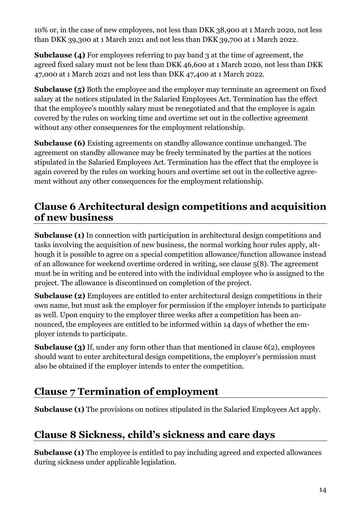10% or, in the case of new employees, not less than DKK 38,900 at 1 March 2020, not less than DKK 39,300 at 1 March 2021 and not less than DKK 39,700 at 1 March 2022.

**Subclause (4)** For employees referring to pay band 3 at the time of agreement, the agreed fixed salary must not be less than DKK 46,600 at 1 March 2020, not less than DKK 47,000 at 1 March 2021 and not less than DKK 47,400 at 1 March 2022.

**Subclause (5)** Both the employee and the employer may terminate an agreement on fixed salary at the notices stipulated in the Salaried Employees Act. Termination has the effect that the employee's monthly salary must be renegotiated and that the employee is again covered by the rules on working time and overtime set out in the collective agreement without any other consequences for the employment relationship.

**Subclause (6)** Existing agreements on standby allowance continue unchanged. The agreement on standby allowance may be freely terminated by the parties at the notices stipulated in the Salaried Employees Act. Termination has the effect that the employee is again covered by the rules on working hours and overtime set out in the collective agreement without any other consequences for the employment relationship.

#### <span id="page-14-0"></span>**Clause 6 Architectural design competitions and acquisition of new business**

**Subclause (1)** In connection with participation in architectural design competitions and tasks involving the acquisition of new business, the normal working hour rules apply, although it is possible to agree on a special competition allowance/function allowance instead of an allowance for weekend overtime ordered in writing, see clause 5(8). The agreement must be in writing and be entered into with the individual employee who is assigned to the project. The allowance is discontinued on completion of the project.

**Subclause (2)** Employees are entitled to enter architectural design competitions in their own name, but must ask the employer for permission if the employer intends to participate as well. Upon enquiry to the employer three weeks after a competition has been announced, the employees are entitled to be informed within 14 days of whether the employer intends to participate.

**Subclause (3)** If, under any form other than that mentioned in clause 6(2), employees should want to enter architectural design competitions, the employer's permission must also be obtained if the employer intends to enter the competition.

#### <span id="page-14-1"></span>**Clause 7 Termination of employment**

<span id="page-14-2"></span>**Subclause (1)** The provisions on notices stipulated in the Salaried Employees Act apply.

#### **Clause 8 Sickness, child's sickness and care days**

**Subclause (1)** The employee is entitled to pay including agreed and expected allowances during sickness under applicable legislation.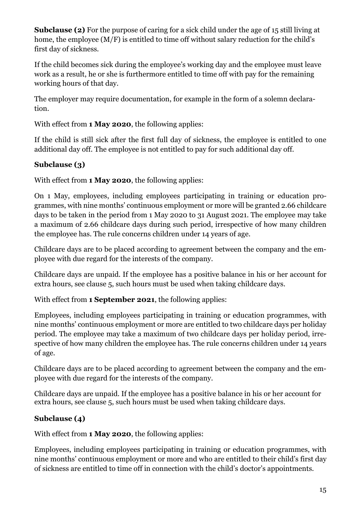**Subclause (2)** For the purpose of caring for a sick child under the age of 15 still living at home, the employee (M/F) is entitled to time off without salary reduction for the child's first day of sickness.

If the child becomes sick during the employee's working day and the employee must leave work as a result, he or she is furthermore entitled to time off with pay for the remaining working hours of that day.

The employer may require documentation, for example in the form of a solemn declaration.

With effect from **1 May 2020**, the following applies:

If the child is still sick after the first full day of sickness, the employee is entitled to one additional day off. The employee is not entitled to pay for such additional day off.

#### **Subclause (3)**

With effect from **1 May 2020**, the following applies:

On 1 May, employees, including employees participating in training or education programmes, with nine months' continuous employment or more will be granted 2.66 childcare days to be taken in the period from 1 May 2020 to 31 August 2021. The employee may take a maximum of 2.66 childcare days during such period, irrespective of how many children the employee has. The rule concerns children under 14 years of age.

Childcare days are to be placed according to agreement between the company and the employee with due regard for the interests of the company.

Childcare days are unpaid. If the employee has a positive balance in his or her account for extra hours, see clause 5, such hours must be used when taking childcare days.

With effect from **1 September 2021**, the following applies:

Employees, including employees participating in training or education programmes, with nine months' continuous employment or more are entitled to two childcare days per holiday period. The employee may take a maximum of two childcare days per holiday period, irrespective of how many children the employee has. The rule concerns children under 14 years of age.

Childcare days are to be placed according to agreement between the company and the employee with due regard for the interests of the company.

Childcare days are unpaid. If the employee has a positive balance in his or her account for extra hours, see clause 5, such hours must be used when taking childcare days.

#### **Subclause (4)**

With effect from **1 May 2020**, the following applies:

Employees, including employees participating in training or education programmes, with nine months' continuous employment or more and who are entitled to their child's first day of sickness are entitled to time off in connection with the child's doctor's appointments.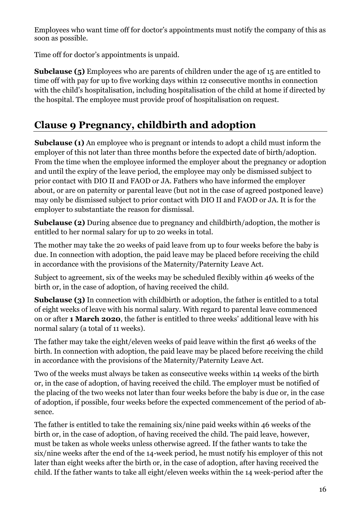Employees who want time off for doctor's appointments must notify the company of this as soon as possible.

Time off for doctor's appointments is unpaid.

**Subclause (5)** Employees who are parents of children under the age of 15 are entitled to time off with pay for up to five working days within 12 consecutive months in connection with the child's hospitalisation, including hospitalisation of the child at home if directed by the hospital. The employee must provide proof of hospitalisation on request.

#### <span id="page-16-0"></span>**Clause 9 Pregnancy, childbirth and adoption**

**Subclause (1)** An employee who is pregnant or intends to adopt a child must inform the employer of this not later than three months before the expected date of birth/adoption. From the time when the employee informed the employer about the pregnancy or adoption and until the expiry of the leave period, the employee may only be dismissed subject to prior contact with DIO II and FAOD or JA. Fathers who have informed the employer about, or are on paternity or parental leave (but not in the case of agreed postponed leave) may only be dismissed subject to prior contact with DIO II and FAOD or JA. It is for the employer to substantiate the reason for dismissal.

**Subclause (2)** During absence due to pregnancy and childbirth/adoption, the mother is entitled to her normal salary for up to 20 weeks in total.

The mother may take the 20 weeks of paid leave from up to four weeks before the baby is due. In connection with adoption, the paid leave may be placed before receiving the child in accordance with the provisions of the Maternity/Paternity Leave Act.

Subject to agreement, six of the weeks may be scheduled flexibly within 46 weeks of the birth or, in the case of adoption, of having received the child.

**Subclause (3)** In connection with childbirth or adoption, the father is entitled to a total of eight weeks of leave with his normal salary. With regard to parental leave commenced on or after **1 March 2020**, the father is entitled to three weeks' additional leave with his normal salary (a total of 11 weeks).

The father may take the eight/eleven weeks of paid leave within the first 46 weeks of the birth. In connection with adoption, the paid leave may be placed before receiving the child in accordance with the provisions of the Maternity/Paternity Leave Act.

Two of the weeks must always be taken as consecutive weeks within 14 weeks of the birth or, in the case of adoption, of having received the child. The employer must be notified of the placing of the two weeks not later than four weeks before the baby is due or, in the case of adoption, if possible, four weeks before the expected commencement of the period of absence.

The father is entitled to take the remaining six/nine paid weeks within 46 weeks of the birth or, in the case of adoption, of having received the child. The paid leave, however, must be taken as whole weeks unless otherwise agreed. If the father wants to take the six/nine weeks after the end of the 14-week period, he must notify his employer of this not later than eight weeks after the birth or, in the case of adoption, after having received the child. If the father wants to take all eight/eleven weeks within the 14 week-period after the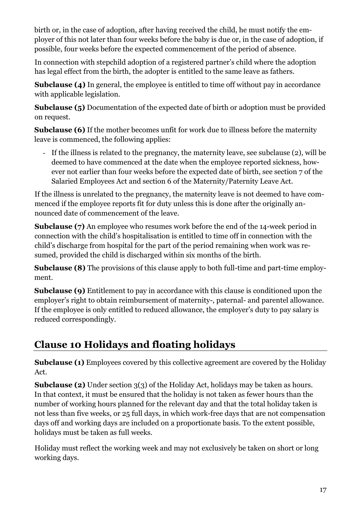birth or, in the case of adoption, after having received the child, he must notify the employer of this not later than four weeks before the baby is due or, in the case of adoption, if possible, four weeks before the expected commencement of the period of absence.

In connection with stepchild adoption of a registered partner's child where the adoption has legal effect from the birth, the adopter is entitled to the same leave as fathers.

**Subclause (4)** In general, the employee is entitled to time off without pay in accordance with applicable legislation.

**Subclause (5)** Documentation of the expected date of birth or adoption must be provided on request.

**Subclause (6)** If the mother becomes unfit for work due to illness before the maternity leave is commenced, the following applies:

- If the illness is related to the pregnancy, the maternity leave, see subclause (2), will be deemed to have commenced at the date when the employee reported sickness, however not earlier than four weeks before the expected date of birth, see section 7 of the Salaried Employees Act and section 6 of the Maternity/Paternity Leave Act.

If the illness is unrelated to the pregnancy, the maternity leave is not deemed to have commenced if the employee reports fit for duty unless this is done after the originally announced date of commencement of the leave.

**Subclause (7)** An employee who resumes work before the end of the 14-week period in connection with the child's hospitalisation is entitled to time off in connection with the child's discharge from hospital for the part of the period remaining when work was resumed, provided the child is discharged within six months of the birth.

**Subclause (8)** The provisions of this clause apply to both full-time and part-time employment.

**Subclause (9)** Entitlement to pay in accordance with this clause is conditioned upon the employer's right to obtain reimbursement of maternity-, paternal- and parentel allowance. If the employee is only entitled to reduced allowance, the employer's duty to pay salary is reduced correspondingly.

#### <span id="page-17-0"></span>**Clause 10 Holidays and floating holidays**

**Subclause (1)** Employees covered by this collective agreement are covered by the Holiday Act.

**Subclause (2)** Under section 3(3) of the Holiday Act, holidays may be taken as hours. In that context, it must be ensured that the holiday is not taken as fewer hours than the number of working hours planned for the relevant day and that the total holiday taken is not less than five weeks, or 25 full days, in which work-free days that are not compensation days off and working days are included on a proportionate basis. To the extent possible, holidays must be taken as full weeks.

Holiday must reflect the working week and may not exclusively be taken on short or long working days.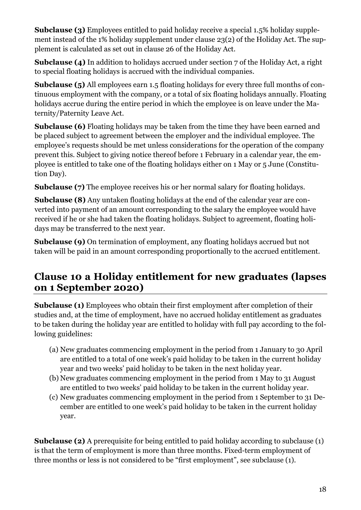**Subclause (3)** Employees entitled to paid holiday receive a special 1.5% holiday supplement instead of the 1% holiday supplement under clause 23(2) of the Holiday Act. The supplement is calculated as set out in clause 26 of the Holiday Act.

**Subclause (4)** In addition to holidays accrued under section 7 of the Holiday Act, a right to special floating holidays is accrued with the individual companies.

**Subclause (5)** All employees earn 1.5 floating holidays for every three full months of continuous employment with the company, or a total of six floating holidays annually. Floating holidays accrue during the entire period in which the employee is on leave under the Maternity/Paternity Leave Act.

**Subclause (6)** Floating holidays may be taken from the time they have been earned and be placed subject to agreement between the employer and the individual employee. The employee's requests should be met unless considerations for the operation of the company prevent this. Subject to giving notice thereof before 1 February in a calendar year, the employee is entitled to take one of the floating holidays either on 1 May or 5 June (Constitution Day).

**Subclause (7)** The employee receives his or her normal salary for floating holidays.

**Subclause (8)** Any untaken floating holidays at the end of the calendar year are converted into payment of an amount corresponding to the salary the employee would have received if he or she had taken the floating holidays. Subject to agreement, floating holidays may be transferred to the next year.

**Subclause (9)** On termination of employment, any floating holidays accrued but not taken will be paid in an amount corresponding proportionally to the accrued entitlement.

#### <span id="page-18-0"></span>**Clause 10 a Holiday entitlement for new graduates (lapses on 1 September 2020)**

**Subclause (1)** Employees who obtain their first employment after completion of their studies and, at the time of employment, have no accrued holiday entitlement as graduates to be taken during the holiday year are entitled to holiday with full pay according to the following guidelines:

- (a) New graduates commencing employment in the period from 1 January to 30 April are entitled to a total of one week's paid holiday to be taken in the current holiday year and two weeks' paid holiday to be taken in the next holiday year.
- (b) New graduates commencing employment in the period from 1 May to 31 August are entitled to two weeks' paid holiday to be taken in the current holiday year.
- (c) New graduates commencing employment in the period from 1 September to 31 December are entitled to one week's paid holiday to be taken in the current holiday year.

**Subclause (2)** A prerequisite for being entitled to paid holiday according to subclause (1) is that the term of employment is more than three months. Fixed-term employment of three months or less is not considered to be "first employment", see subclause (1).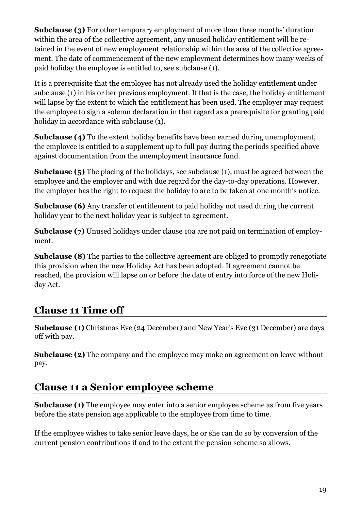**Subclause (3)** For other temporary employment of more than three months' duration within the area of the collective agreement, any unused holiday entitlement will be retained in the event of new employment relationship within the area of the collective agreement. The date of commencement of the new employment determines how many weeks of paid holiday the employee is entitled to, see subclause (1).

It is a prerequisite that the employee has not already used the holiday entitlement under subclause (1) in his or her previous employment. If that is the case, the holiday entitlement will lapse by the extent to which the entitlement has been used. The employer may request the employee to sign a solemn declaration in that regard as a prerequisite for granting paid holiday in accordance with subclause (1).

**Subclause (4)** To the extent holiday benefits have been earned during unemployment, the employee is entitled to a supplement up to full pay during the periods specified above against documentation from the unemployment insurance fund.

**Subclause (5)** The placing of the holidays, see subclause (1), must be agreed between the employee and the employer and with due regard for the day-to-day operations. However, the employer has the right to request the holiday to are to be taken at one month's notice.

**Subclause (6)** Any transfer of entitlement to paid holiday not used during the current holiday year to the next holiday year is subject to agreement.

**Subclause (7)** Unused holidays under clause 10a are not paid on termination of employment.

**Subclause (8)** The parties to the collective agreement are obliged to promptly renegotiate this provision when the new Holiday Act has been adopted. If agreement cannot be reached, the provision will lapse on or before the date of entry into force of the new Holiday Act.

#### <span id="page-19-0"></span>**Clause 11 Time off**

**Subclause (1)** Christmas Eve (24 December) and New Year's Eve (31 December) are days off with pay.

**Subclause (2)** The company and the employee may make an agreement on leave without pay.

#### <span id="page-19-1"></span>**Clause 11 a Senior employee scheme**

**Subclause (1)** The employee may enter into a senior employee scheme as from five years before the state pension age applicable to the employee from time to time.

If the employee wishes to take senior leave days, he or she can do so by conversion of the current pension contributions if and to the extent the pension scheme so allows.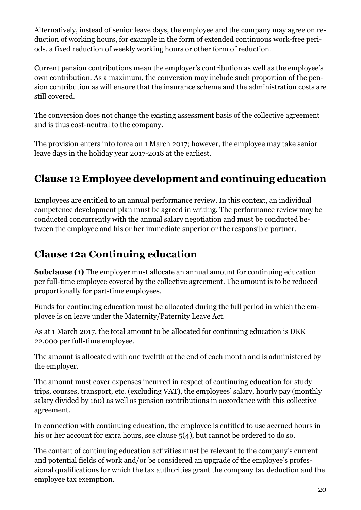Alternatively, instead of senior leave days, the employee and the company may agree on reduction of working hours, for example in the form of extended continuous work-free periods, a fixed reduction of weekly working hours or other form of reduction.

Current pension contributions mean the employer's contribution as well as the employee's own contribution. As a maximum, the conversion may include such proportion of the pension contribution as will ensure that the insurance scheme and the administration costs are still covered.

The conversion does not change the existing assessment basis of the collective agreement and is thus cost-neutral to the company.

The provision enters into force on 1 March 2017; however, the employee may take senior leave days in the holiday year 2017-2018 at the earliest.

#### <span id="page-20-0"></span>**Clause 12 Employee development and continuing education**

Employees are entitled to an annual performance review. In this context, an individual competence development plan must be agreed in writing. The performance review may be conducted concurrently with the annual salary negotiation and must be conducted between the employee and his or her immediate superior or the responsible partner.

#### <span id="page-20-1"></span>**Clause 12a Continuing education**

**Subclause (1)** The employer must allocate an annual amount for continuing education per full-time employee covered by the collective agreement. The amount is to be reduced proportionally for part-time employees.

Funds for continuing education must be allocated during the full period in which the employee is on leave under the Maternity/Paternity Leave Act.

As at 1 March 2017, the total amount to be allocated for continuing education is DKK 22,000 per full-time employee.

The amount is allocated with one twelfth at the end of each month and is administered by the employer.

The amount must cover expenses incurred in respect of continuing education for study trips, courses, transport, etc. (excluding VAT), the employees' salary, hourly pay (monthly salary divided by 160) as well as pension contributions in accordance with this collective agreement.

In connection with continuing education, the employee is entitled to use accrued hours in his or her account for extra hours, see clause 5(4), but cannot be ordered to do so.

The content of continuing education activities must be relevant to the company's current and potential fields of work and/or be considered an upgrade of the employee's professional qualifications for which the tax authorities grant the company tax deduction and the employee tax exemption.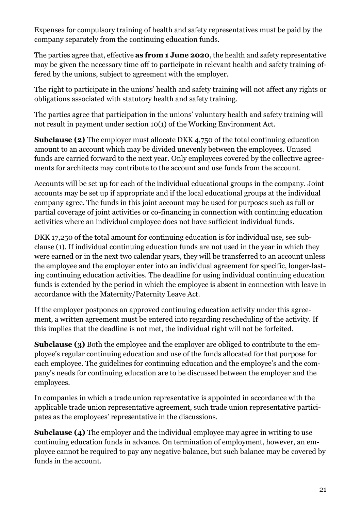Expenses for compulsory training of health and safety representatives must be paid by the company separately from the continuing education funds.

The parties agree that, effective **as from 1 June 2020**, the health and safety representative may be given the necessary time off to participate in relevant health and safety training offered by the unions, subject to agreement with the employer.

The right to participate in the unions' health and safety training will not affect any rights or obligations associated with statutory health and safety training.

The parties agree that participation in the unions' voluntary health and safety training will not result in payment under section 10(1) of the Working Environment Act.

**Subclause (2)** The employer must allocate DKK 4,750 of the total continuing education amount to an account which may be divided unevenly between the employees. Unused funds are carried forward to the next year. Only employees covered by the collective agreements for architects may contribute to the account and use funds from the account.

Accounts will be set up for each of the individual educational groups in the company. Joint accounts may be set up if appropriate and if the local educational groups at the individual company agree. The funds in this joint account may be used for purposes such as full or partial coverage of joint activities or co-financing in connection with continuing education activities where an individual employee does not have sufficient individual funds.

DKK 17,250 of the total amount for continuing education is for individual use, see subclause (1). If individual continuing education funds are not used in the year in which they were earned or in the next two calendar years, they will be transferred to an account unless the employee and the employer enter into an individual agreement for specific, longer-lasting continuing education activities. The deadline for using individual continuing education funds is extended by the period in which the employee is absent in connection with leave in accordance with the Maternity/Paternity Leave Act.

If the employer postpones an approved continuing education activity under this agreement, a written agreement must be entered into regarding rescheduling of the activity. If this implies that the deadline is not met, the individual right will not be forfeited.

**Subclause (3)** Both the employee and the employer are obliged to contribute to the employee's regular continuing education and use of the funds allocated for that purpose for each employee. The guidelines for continuing education and the employee's and the company's needs for continuing education are to be discussed between the employer and the employees.

In companies in which a trade union representative is appointed in accordance with the applicable trade union representative agreement, such trade union representative participates as the employees' representative in the discussions.

**Subclause (4)** The employer and the individual employee may agree in writing to use continuing education funds in advance. On termination of employment, however, an employee cannot be required to pay any negative balance, but such balance may be covered by funds in the account.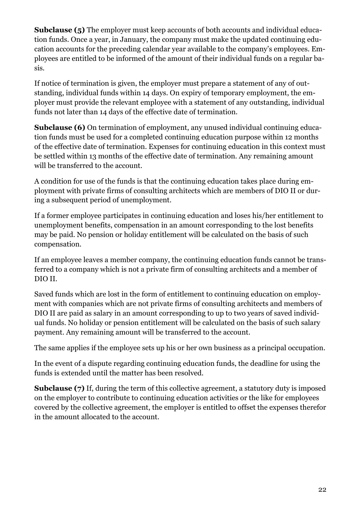**Subclause (5)** The employer must keep accounts of both accounts and individual education funds. Once a year, in January, the company must make the updated continuing education accounts for the preceding calendar year available to the company's employees. Employees are entitled to be informed of the amount of their individual funds on a regular basis.

If notice of termination is given, the employer must prepare a statement of any of outstanding, individual funds within 14 days. On expiry of temporary employment, the employer must provide the relevant employee with a statement of any outstanding, individual funds not later than 14 days of the effective date of termination.

**Subclause (6)** On termination of employment, any unused individual continuing education funds must be used for a completed continuing education purpose within 12 months of the effective date of termination. Expenses for continuing education in this context must be settled within 13 months of the effective date of termination. Any remaining amount will be transferred to the account.

A condition for use of the funds is that the continuing education takes place during employment with private firms of consulting architects which are members of DIO II or during a subsequent period of unemployment.

If a former employee participates in continuing education and loses his/her entitlement to unemployment benefits, compensation in an amount corresponding to the lost benefits may be paid. No pension or holiday entitlement will be calculated on the basis of such compensation.

If an employee leaves a member company, the continuing education funds cannot be transferred to a company which is not a private firm of consulting architects and a member of DIO II.

Saved funds which are lost in the form of entitlement to continuing education on employment with companies which are not private firms of consulting architects and members of DIO II are paid as salary in an amount corresponding to up to two years of saved individual funds. No holiday or pension entitlement will be calculated on the basis of such salary payment. Any remaining amount will be transferred to the account.

The same applies if the employee sets up his or her own business as a principal occupation.

In the event of a dispute regarding continuing education funds, the deadline for using the funds is extended until the matter has been resolved.

**Subclause (7)** If, during the term of this collective agreement, a statutory duty is imposed on the employer to contribute to continuing education activities or the like for employees covered by the collective agreement, the employer is entitled to offset the expenses therefor in the amount allocated to the account.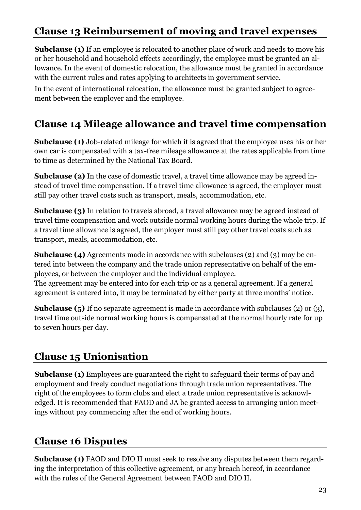#### <span id="page-23-0"></span>**Clause 13 Reimbursement of moving and travel expenses**

**Subclause (1)** If an employee is relocated to another place of work and needs to move his or her household and household effects accordingly, the employee must be granted an allowance. In the event of domestic relocation, the allowance must be granted in accordance with the current rules and rates applying to architects in government service.

In the event of international relocation, the allowance must be granted subject to agreement between the employer and the employee.

#### <span id="page-23-1"></span>**Clause 14 Mileage allowance and travel time compensation**

**Subclause (1)** Job-related mileage for which it is agreed that the employee uses his or her own car is compensated with a tax-free mileage allowance at the rates applicable from time to time as determined by the National Tax Board.

**Subclause (2)** In the case of domestic travel, a travel time allowance may be agreed instead of travel time compensation. If a travel time allowance is agreed, the employer must still pay other travel costs such as transport, meals, accommodation, etc.

**Subclause (3)** In relation to travels abroad, a travel allowance may be agreed instead of travel time compensation and work outside normal working hours during the whole trip. If a travel time allowance is agreed, the employer must still pay other travel costs such as transport, meals, accommodation, etc.

**Subclause (4)** Agreements made in accordance with subclauses (2) and (3) may be entered into between the company and the trade union representative on behalf of the employees, or between the employer and the individual employee.

The agreement may be entered into for each trip or as a general agreement. If a general agreement is entered into, it may be terminated by either party at three months' notice.

**Subclause (5)** If no separate agreement is made in accordance with subclauses (2) or (3), travel time outside normal working hours is compensated at the normal hourly rate for up to seven hours per day.

#### <span id="page-23-2"></span>**Clause 15 Unionisation**

**Subclause (1)** Employees are guaranteed the right to safeguard their terms of pay and employment and freely conduct negotiations through trade union representatives. The right of the employees to form clubs and elect a trade union representative is acknowledged. It is recommended that FAOD and JA be granted access to arranging union meetings without pay commencing after the end of working hours.

#### <span id="page-23-3"></span>**Clause 16 Disputes**

**Subclause (1)** FAOD and DIO II must seek to resolve any disputes between them regarding the interpretation of this collective agreement, or any breach hereof, in accordance with the rules of the General Agreement between FAOD and DIO II.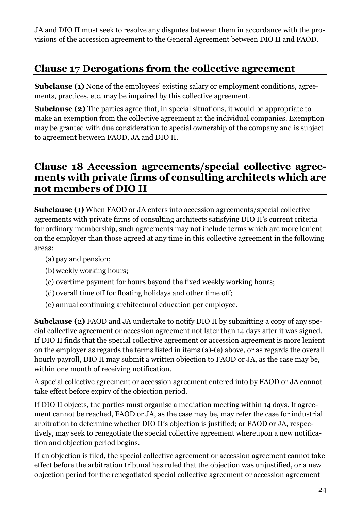JA and DIO II must seek to resolve any disputes between them in accordance with the provisions of the accession agreement to the General Agreement between DIO II and FAOD.

#### <span id="page-24-0"></span>**Clause 17 Derogations from the collective agreement**

**Subclause (1)** None of the employees' existing salary or employment conditions, agreements, practices, etc. may be impaired by this collective agreement.

**Subclause (2)** The parties agree that, in special situations, it would be appropriate to make an exemption from the collective agreement at the individual companies. Exemption may be granted with due consideration to special ownership of the company and is subject to agreement between FAOD, JA and DIO II.

#### <span id="page-24-1"></span>**Clause 18 Accession agreements/special collective agreements with private firms of consulting architects which are not members of DIO II**

**Subclause (1)** When FAOD or JA enters into accession agreements/special collective agreements with private firms of consulting architects satisfying DIO II's current criteria for ordinary membership, such agreements may not include terms which are more lenient on the employer than those agreed at any time in this collective agreement in the following areas:

- (a) pay and pension;
- (b) weekly working hours;
- (c) overtime payment for hours beyond the fixed weekly working hours;
- (d) overall time off for floating holidays and other time off;
- (e) annual continuing architectural education per employee.

**Subclause (2)** FAOD and JA undertake to notify DIO II by submitting a copy of any special collective agreement or accession agreement not later than 14 days after it was signed. If DIO II finds that the special collective agreement or accession agreement is more lenient on the employer as regards the terms listed in items (a)-(e) above, or as regards the overall hourly payroll, DIO II may submit a written objection to FAOD or JA, as the case may be, within one month of receiving notification.

A special collective agreement or accession agreement entered into by FAOD or JA cannot take effect before expiry of the objection period.

If DIO II objects, the parties must organise a mediation meeting within 14 days. If agreement cannot be reached, FAOD or JA, as the case may be, may refer the case for industrial arbitration to determine whether DIO II's objection is justified; or FAOD or JA, respectively, may seek to renegotiate the special collective agreement whereupon a new notification and objection period begins.

If an objection is filed, the special collective agreement or accession agreement cannot take effect before the arbitration tribunal has ruled that the objection was unjustified, or a new objection period for the renegotiated special collective agreement or accession agreement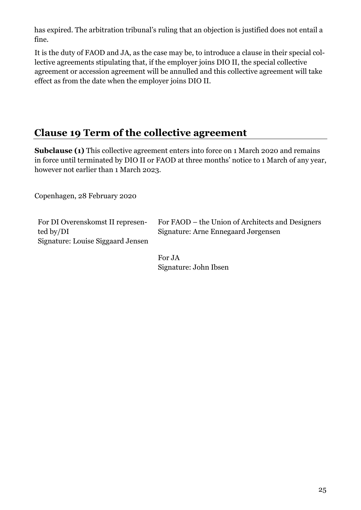has expired. The arbitration tribunal's ruling that an objection is justified does not entail a fine.

It is the duty of FAOD and JA, as the case may be, to introduce a clause in their special collective agreements stipulating that, if the employer joins DIO II, the special collective agreement or accession agreement will be annulled and this collective agreement will take effect as from the date when the employer joins DIO II.

#### <span id="page-25-0"></span>**Clause 19 Term of the collective agreement**

**Subclause (1)** This collective agreement enters into force on 1 March 2020 and remains in force until terminated by DIO II or FAOD at three months' notice to 1 March of any year, however not earlier than 1 March 2023.

Copenhagen, 28 February 2020

For DI Overenskomst II represented by/DI Signature: Louise Siggaard Jensen For FAOD – the Union of Architects and Designers Signature: Arne Ennegaard Jørgensen

For JA Signature: John Ibsen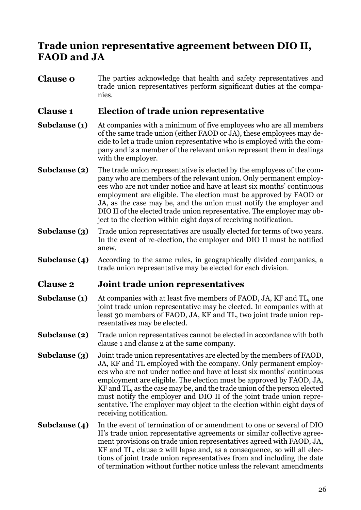#### <span id="page-26-0"></span>**Trade union representative agreement between DIO II, FAOD and JA**

**Clause o** The parties acknowledge that health and safety representatives and trade union representatives perform significant duties at the companies.

#### **Clause 1 Election of trade union representative**

- **Subclause (1)** At companies with a minimum of five employees who are all members of the same trade union (either FAOD or JA), these employees may decide to let a trade union representative who is employed with the company and is a member of the relevant union represent them in dealings with the employer.
- **Subclause (2)** The trade union representative is elected by the employees of the company who are members of the relevant union. Only permanent employees who are not under notice and have at least six months' continuous employment are eligible. The election must be approved by FAOD or JA, as the case may be, and the union must notify the employer and DIO II of the elected trade union representative. The employer may object to the election within eight days of receiving notification.
- **Subclause (3)** Trade union representatives are usually elected for terms of two years. In the event of re-election, the employer and DIO II must be notified anew.
- **Subclause (4)** According to the same rules, in geographically divided companies, a trade union representative may be elected for each division.

#### **Clause 2 Joint trade union representatives**

- **Subclause (1)** At companies with at least five members of FAOD, JA, KF and TL, one joint trade union representative may be elected. In companies with at least 30 members of FAOD, JA, KF and TL, two joint trade union representatives may be elected.
- **Subclause (2)** Trade union representatives cannot be elected in accordance with both clause 1 and clause 2 at the same company.
- **Subclause (3)** Joint trade union representatives are elected by the members of FAOD, JA, KF and TL employed with the company. Only permanent employees who are not under notice and have at least six months' continuous employment are eligible. The election must be approved by FAOD, JA, KF and TL, as the case may be, and the trade union of the person elected must notify the employer and DIO II of the joint trade union representative. The employer may object to the election within eight days of receiving notification.
- **Subclause (4)** In the event of termination of or amendment to one or several of DIO II's trade union representative agreements or similar collective agreement provisions on trade union representatives agreed with FAOD, JA, KF and TL, clause 2 will lapse and, as a consequence, so will all elections of joint trade union representatives from and including the date of termination without further notice unless the relevant amendments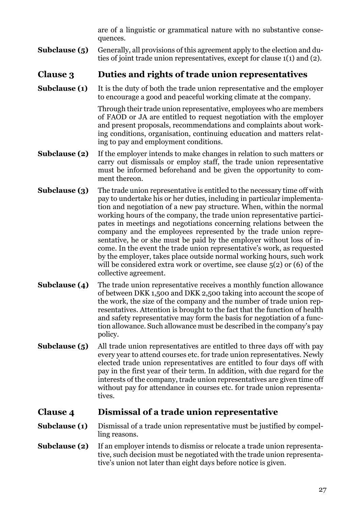are of a linguistic or grammatical nature with no substantive consequences.

**Subclause (5)** Generally, all provisions of this agreement apply to the election and duties of joint trade union representatives, except for clause 1(1) and (2).

#### **Clause 3 Duties and rights of trade union representatives**

**Subclause (1)** It is the duty of both the trade union representative and the employer to encourage a good and peaceful working climate at the company.

> Through their trade union representative, employees who are members of FAOD or JA are entitled to request negotiation with the employer and present proposals, recommendations and complaints about working conditions, organisation, continuing education and matters relating to pay and employment conditions.

- **Subclause (2)** If the employer intends to make changes in relation to such matters or carry out dismissals or employ staff, the trade union representative must be informed beforehand and be given the opportunity to comment thereon.
- **Subclause (3)** The trade union representative is entitled to the necessary time off with pay to undertake his or her duties, including in particular implementation and negotiation of a new pay structure. When, within the normal working hours of the company, the trade union representative participates in meetings and negotiations concerning relations between the company and the employees represented by the trade union representative, he or she must be paid by the employer without loss of income. In the event the trade union representative's work, as requested by the employer, takes place outside normal working hours, such work will be considered extra work or overtime, see clause  $5(2)$  or (6) of the collective agreement.
- **Subclause (4)** The trade union representative receives a monthly function allowance of between DKK 1,500 and DKK 2,500 taking into account the scope of the work, the size of the company and the number of trade union representatives. Attention is brought to the fact that the function of health and safety representative may form the basis for negotiation of a function allowance. Such allowance must be described in the company's pay policy.
- **Subclause (5)** All trade union representatives are entitled to three days off with pay every year to attend courses etc. for trade union representatives. Newly elected trade union representatives are entitled to four days off with pay in the first year of their term. In addition, with due regard for the interests of the company, trade union representatives are given time off without pay for attendance in courses etc. for trade union representatives.

#### **Clause 4 Dismissal of a trade union representative**

- **Subclause (1)** Dismissal of a trade union representative must be justified by compelling reasons.
- **Subclause (2)** If an employer intends to dismiss or relocate a trade union representative, such decision must be negotiated with the trade union representative's union not later than eight days before notice is given.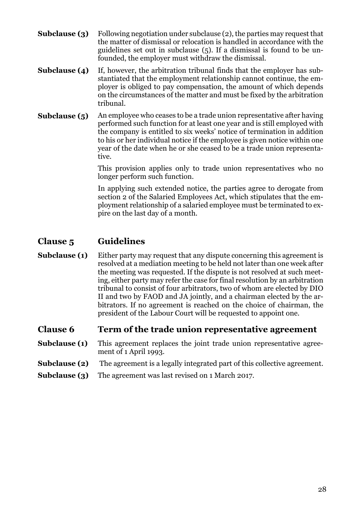- **Subclause (3)** Following negotiation under subclause (2), the parties may request that the matter of dismissal or relocation is handled in accordance with the guidelines set out in subclause (5). If a dismissal is found to be unfounded, the employer must withdraw the dismissal.
- **Subclause (4)** If, however, the arbitration tribunal finds that the employer has substantiated that the employment relationship cannot continue, the employer is obliged to pay compensation, the amount of which depends on the circumstances of the matter and must be fixed by the arbitration tribunal.
- **Subclause (5)** An employee who ceases to be a trade union representative after having performed such function for at least one year and is still employed with the company is entitled to six weeks' notice of termination in addition to his or her individual notice if the employee is given notice within one year of the date when he or she ceased to be a trade union representative.

This provision applies only to trade union representatives who no longer perform such function.

In applying such extended notice, the parties agree to derogate from section 2 of the Salaried Employees Act, which stipulates that the employment relationship of a salaried employee must be terminated to expire on the last day of a month.

#### **Clause 5 Guidelines**

**Subclause (1)** Either party may request that any dispute concerning this agreement is resolved at a mediation meeting to be held not later than one week after the meeting was requested. If the dispute is not resolved at such meeting, either party may refer the case for final resolution by an arbitration tribunal to consist of four arbitrators, two of whom are elected by DIO II and two by FAOD and JA jointly, and a chairman elected by the arbitrators. If no agreement is reached on the choice of chairman, the president of the Labour Court will be requested to appoint one.

#### **Clause 6 Term of the trade union representative agreement**

- **Subclause (1)** This agreement replaces the joint trade union representative agreement of 1 April 1993.
- **Subclause (2)** The agreement is a legally integrated part of this collective agreement.
- **Subclause (3)** The agreement was last revised on 1 March 2017.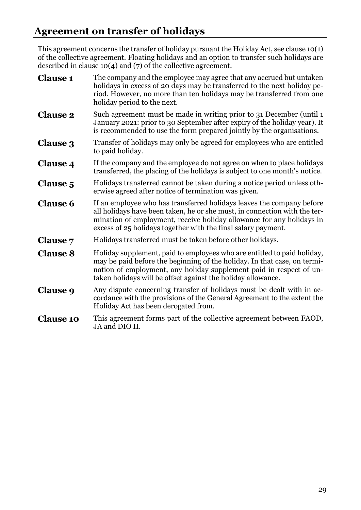#### <span id="page-29-0"></span>**Agreement on transfer of holidays**

This agreement concerns the transfer of holiday pursuant the Holiday Act, see clause 10(1) of the collective agreement. Floating holidays and an option to transfer such holidays are described in clause 10(4) and (7) of the collective agreement.

| <b>Clause 1</b>  | The company and the employee may agree that any accrued but untaken<br>holidays in excess of 20 days may be transferred to the next holiday pe-<br>riod. However, no more than ten holidays may be transferred from one<br>holiday period to the next.                                       |  |  |  |
|------------------|----------------------------------------------------------------------------------------------------------------------------------------------------------------------------------------------------------------------------------------------------------------------------------------------|--|--|--|
| <b>Clause 2</b>  | Such agreement must be made in writing prior to 31 December (until 1<br>January 2021: prior to 30 September after expiry of the holiday year). It<br>is recommended to use the form prepared jointly by the organisations.                                                                   |  |  |  |
| <b>Clause 3</b>  | Transfer of holidays may only be agreed for employees who are entitled<br>to paid holiday.                                                                                                                                                                                                   |  |  |  |
| <b>Clause 4</b>  | If the company and the employee do not agree on when to place holidays<br>transferred, the placing of the holidays is subject to one month's notice.                                                                                                                                         |  |  |  |
| <b>Clause 5</b>  | Holidays transferred cannot be taken during a notice period unless oth-<br>erwise agreed after notice of termination was given.                                                                                                                                                              |  |  |  |
| <b>Clause 6</b>  | If an employee who has transferred holidays leaves the company before<br>all holidays have been taken, he or she must, in connection with the ter-<br>mination of employment, receive holiday allowance for any holidays in<br>excess of 25 holidays together with the final salary payment. |  |  |  |
| <b>Clause</b> 7  | Holidays transferred must be taken before other holidays.                                                                                                                                                                                                                                    |  |  |  |
| <b>Clause 8</b>  | Holiday supplement, paid to employees who are entitled to paid holiday,<br>may be paid before the beginning of the holiday. In that case, on termi-<br>nation of employment, any holiday supplement paid in respect of un-<br>taken holidays will be offset against the holiday allowance.   |  |  |  |
| <b>Clause 9</b>  | Any dispute concerning transfer of holidays must be dealt with in ac-<br>cordance with the provisions of the General Agreement to the extent the<br>Holiday Act has been derogated from.                                                                                                     |  |  |  |
| <b>Clause 10</b> | This agreement forms part of the collective agreement between FAOD,<br>JA and DIO II.                                                                                                                                                                                                        |  |  |  |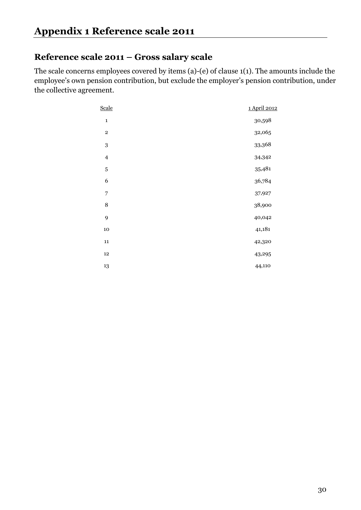#### <span id="page-30-0"></span>**Reference scale 2011 – Gross salary scale**

The scale concerns employees covered by items (a)-(e) of clause 1(1). The amounts include the employee's own pension contribution, but exclude the employer's pension contribution, under the collective agreement.

| Scale                   | 1 April 2012 |
|-------------------------|--------------|
| $\mathbf 1$             | 30,598       |
| $\,2$                   | 32,065       |
| $\boldsymbol{3}$        | 33,368       |
| $\overline{\mathbf{4}}$ | 34,342       |
| 5                       | 35,481       |
| 6                       | 36,784       |
| 7                       | 37,927       |
| $\,8\,$                 | 38,900       |
| 9                       | 40,042       |
| $10\,$                  | 41,181       |
| 11                      | 42,320       |
| 12                      | 43,295       |
| 13                      | 44,110       |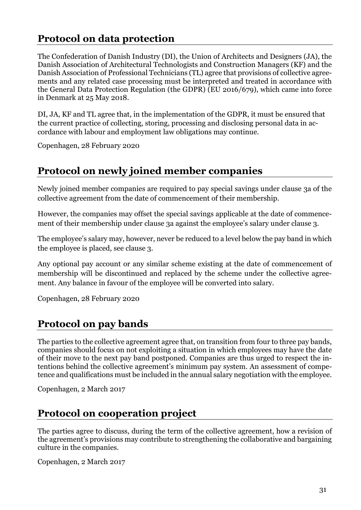#### <span id="page-31-0"></span>**Protocol on data protection**

The Confederation of Danish Industry (DI), the Union of Architects and Designers (JA), the Danish Association of Architectural Technologists and Construction Managers (KF) and the Danish Association of Professional Technicians (TL) agree that provisions of collective agreements and any related case processing must be interpreted and treated in accordance with the General Data Protection Regulation (the GDPR) (EU 2016/679), which came into force in Denmark at 25 May 2018.

DI, JA, KF and TL agree that, in the implementation of the GDPR, it must be ensured that the current practice of collecting, storing, processing and disclosing personal data in accordance with labour and employment law obligations may continue.

Copenhagen, 28 February 2020

#### <span id="page-31-1"></span>**Protocol on newly joined member companies**

Newly joined member companies are required to pay special savings under clause 3a of the collective agreement from the date of commencement of their membership.

However, the companies may offset the special savings applicable at the date of commencement of their membership under clause 3a against the employee's salary under clause 3.

The employee's salary may, however, never be reduced to a level below the pay band in which the employee is placed, see clause 3.

Any optional pay account or any similar scheme existing at the date of commencement of membership will be discontinued and replaced by the scheme under the collective agreement. Any balance in favour of the employee will be converted into salary.

Copenhagen, 28 February 2020

#### <span id="page-31-2"></span>**Protocol on pay bands**

The parties to the collective agreement agree that, on transition from four to three pay bands, companies should focus on not exploiting a situation in which employees may have the date of their move to the next pay band postponed. Companies are thus urged to respect the intentions behind the collective agreement's minimum pay system. An assessment of competence and qualifications must be included in the annual salary negotiation with the employee.

Copenhagen, 2 March 2017

#### <span id="page-31-3"></span>**Protocol on cooperation project**

The parties agree to discuss, during the term of the collective agreement, how a revision of the agreement's provisions may contribute to strengthening the collaborative and bargaining culture in the companies.

Copenhagen, 2 March 2017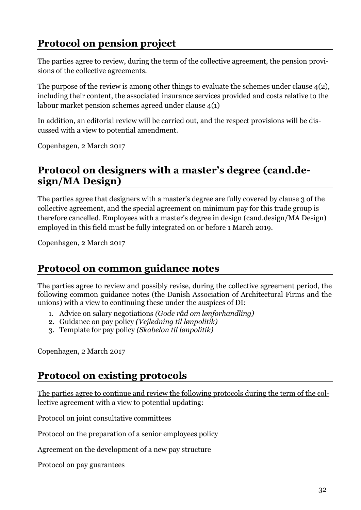#### <span id="page-32-0"></span>**Protocol on pension project**

The parties agree to review, during the term of the collective agreement, the pension provisions of the collective agreements.

The purpose of the review is among other things to evaluate the schemes under clause  $4(2)$ , including their content, the associated insurance services provided and costs relative to the labour market pension schemes agreed under clause 4(1)

In addition, an editorial review will be carried out, and the respect provisions will be discussed with a view to potential amendment.

<span id="page-32-1"></span>Copenhagen, 2 March 2017

#### **Protocol on designers with a master's degree (cand.design/MA Design)**

The parties agree that designers with a master's degree are fully covered by clause 3 of the collective agreement, and the special agreement on minimum pay for this trade group is therefore cancelled. Employees with a master's degree in design (cand.design/MA Design) employed in this field must be fully integrated on or before 1 March 2019.

Copenhagen, 2 March 2017

#### <span id="page-32-2"></span>**Protocol on common guidance notes**

The parties agree to review and possibly revise, during the collective agreement period, the following common guidance notes (the Danish Association of Architectural Firms and the unions) with a view to continuing these under the auspices of DI:

- 1. Advice on salary negotiations *(Gode råd om lønforhandling)*
- 2. Guidance on pay policy *(Vejledning til lønpolitik)*
- 3. Template for pay policy *(Skabelon til lønpolitik)*

<span id="page-32-3"></span>Copenhagen, 2 March 2017

#### **Protocol on existing protocols**

The parties agree to continue and review the following protocols during the term of the collective agreement with a view to potential updating:

Protocol on joint consultative committees

Protocol on the preparation of a senior employees policy

Agreement on the development of a new pay structure

Protocol on pay guarantees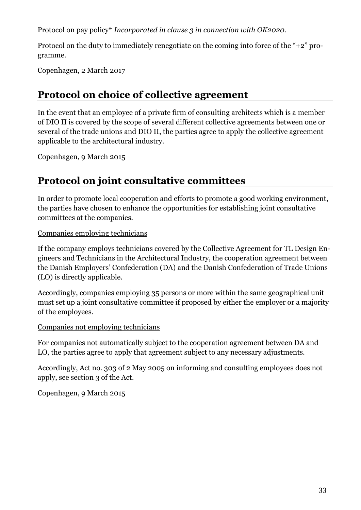Protocol on pay policy\* *Incorporated in clause 3 in connection with OK2020.*

Protocol on the duty to immediately renegotiate on the coming into force of the "+2" programme.

<span id="page-33-0"></span>Copenhagen, 2 March 2017

#### **Protocol on choice of collective agreement**

In the event that an employee of a private firm of consulting architects which is a member of DIO II is covered by the scope of several different collective agreements between one or several of the trade unions and DIO II, the parties agree to apply the collective agreement applicable to the architectural industry.

Copenhagen, 9 March 2015

#### <span id="page-33-1"></span>**Protocol on joint consultative committees**

In order to promote local cooperation and efforts to promote a good working environment, the parties have chosen to enhance the opportunities for establishing joint consultative committees at the companies.

Companies employing technicians

If the company employs technicians covered by the Collective Agreement for TL Design Engineers and Technicians in the Architectural Industry, the cooperation agreement between the Danish Employers' Confederation (DA) and the Danish Confederation of Trade Unions (LO) is directly applicable.

Accordingly, companies employing 35 persons or more within the same geographical unit must set up a joint consultative committee if proposed by either the employer or a majority of the employees.

#### Companies not employing technicians

For companies not automatically subject to the cooperation agreement between DA and LO, the parties agree to apply that agreement subject to any necessary adjustments.

Accordingly, Act no. 303 of 2 May 2005 on informing and consulting employees does not apply, see section 3 of the Act.

Copenhagen, 9 March 2015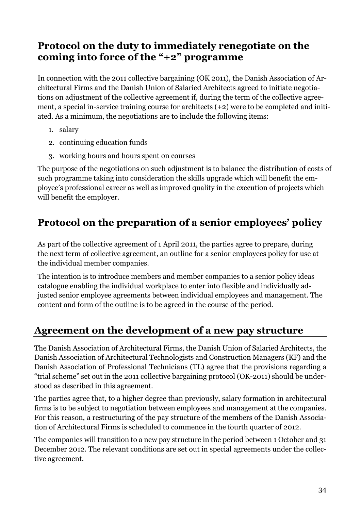#### <span id="page-34-0"></span>**Protocol on the duty to immediately renegotiate on the coming into force of the "+2" programme**

In connection with the 2011 collective bargaining (OK 2011), the Danish Association of Architectural Firms and the Danish Union of Salaried Architects agreed to initiate negotiations on adjustment of the collective agreement if, during the term of the collective agreement, a special in-service training course for architects (+2) were to be completed and initiated. As a minimum, the negotiations are to include the following items:

- 1. salary
- 2. continuing education funds
- 3. working hours and hours spent on courses

The purpose of the negotiations on such adjustment is to balance the distribution of costs of such programme taking into consideration the skills upgrade which will benefit the employee's professional career as well as improved quality in the execution of projects which will benefit the employer.

#### <span id="page-34-1"></span>**Protocol on the preparation of a senior employees' policy**

As part of the collective agreement of 1 April 2011, the parties agree to prepare, during the next term of collective agreement, an outline for a senior employees policy for use at the individual member companies.

The intention is to introduce members and member companies to a senior policy ideas catalogue enabling the individual workplace to enter into flexible and individually adjusted senior employee agreements between individual employees and management. The content and form of the outline is to be agreed in the course of the period.

#### <span id="page-34-2"></span>**Agreement on the development of a new pay structure**

The Danish Association of Architectural Firms, the Danish Union of Salaried Architects, the Danish Association of Architectural Technologists and Construction Managers (KF) and the Danish Association of Professional Technicians (TL) agree that the provisions regarding a "trial scheme" set out in the 2011 collective bargaining protocol (OK-2011) should be understood as described in this agreement.

The parties agree that, to a higher degree than previously, salary formation in architectural firms is to be subject to negotiation between employees and management at the companies. For this reason, a restructuring of the pay structure of the members of the Danish Association of Architectural Firms is scheduled to commence in the fourth quarter of 2012.

The companies will transition to a new pay structure in the period between 1 October and 31 December 2012. The relevant conditions are set out in special agreements under the collective agreement.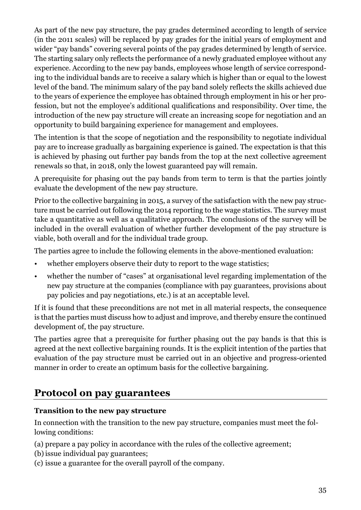As part of the new pay structure, the pay grades determined according to length of service (in the 2011 scales) will be replaced by pay grades for the initial years of employment and wider "pay bands" covering several points of the pay grades determined by length of service. The starting salary only reflects the performance of a newly graduated employee without any experience. According to the new pay bands, employees whose length of service corresponding to the individual bands are to receive a salary which is higher than or equal to the lowest level of the band. The minimum salary of the pay band solely reflects the skills achieved due to the years of experience the employee has obtained through employment in his or her profession, but not the employee's additional qualifications and responsibility. Over time, the introduction of the new pay structure will create an increasing scope for negotiation and an opportunity to build bargaining experience for management and employees.

The intention is that the scope of negotiation and the responsibility to negotiate individual pay are to increase gradually as bargaining experience is gained. The expectation is that this is achieved by phasing out further pay bands from the top at the next collective agreement renewals so that, in 2018, only the lowest guaranteed pay will remain.

A prerequisite for phasing out the pay bands from term to term is that the parties jointly evaluate the development of the new pay structure.

Prior to the collective bargaining in 2015, a survey of the satisfaction with the new pay structure must be carried out following the 2014 reporting to the wage statistics. The survey must take a quantitative as well as a qualitative approach. The conclusions of the survey will be included in the overall evaluation of whether further development of the pay structure is viable, both overall and for the individual trade group.

The parties agree to include the following elements in the above-mentioned evaluation:

- whether employers observe their duty to report to the wage statistics;
- whether the number of "cases" at organisational level regarding implementation of the new pay structure at the companies (compliance with pay guarantees, provisions about pay policies and pay negotiations, etc.) is at an acceptable level.

If it is found that these preconditions are not met in all material respects, the consequence is that the parties must discuss how to adjust and improve, and thereby ensure the continued development of, the pay structure.

The parties agree that a prerequisite for further phasing out the pay bands is that this is agreed at the next collective bargaining rounds. It is the explicit intention of the parties that evaluation of the pay structure must be carried out in an objective and progress-oriented manner in order to create an optimum basis for the collective bargaining.

#### <span id="page-35-0"></span>**Protocol on pay guarantees**

#### **Transition to the new pay structure**

In connection with the transition to the new pay structure, companies must meet the following conditions:

- (a) prepare a pay policy in accordance with the rules of the collective agreement;
- (b) issue individual pay guarantees;
- (c) issue a guarantee for the overall payroll of the company.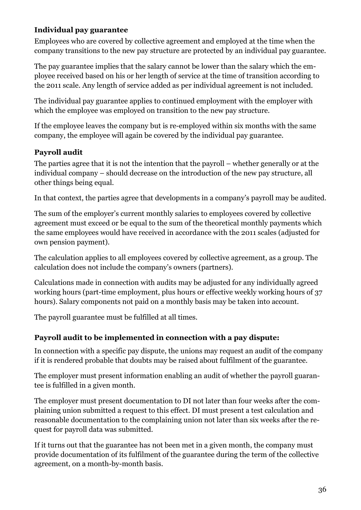#### **Individual pay guarantee**

Employees who are covered by collective agreement and employed at the time when the company transitions to the new pay structure are protected by an individual pay guarantee.

The pay guarantee implies that the salary cannot be lower than the salary which the employee received based on his or her length of service at the time of transition according to the 2011 scale. Any length of service added as per individual agreement is not included.

The individual pay guarantee applies to continued employment with the employer with which the employee was employed on transition to the new pay structure.

If the employee leaves the company but is re-employed within six months with the same company, the employee will again be covered by the individual pay guarantee.

#### **Payroll audit**

The parties agree that it is not the intention that the payroll – whether generally or at the individual company – should decrease on the introduction of the new pay structure, all other things being equal.

In that context, the parties agree that developments in a company's payroll may be audited.

The sum of the employer's current monthly salaries to employees covered by collective agreement must exceed or be equal to the sum of the theoretical monthly payments which the same employees would have received in accordance with the 2011 scales (adjusted for own pension payment).

The calculation applies to all employees covered by collective agreement, as a group. The calculation does not include the company's owners (partners).

Calculations made in connection with audits may be adjusted for any individually agreed working hours (part-time employment, plus hours or effective weekly working hours of 37 hours). Salary components not paid on a monthly basis may be taken into account.

The payroll guarantee must be fulfilled at all times.

#### **Payroll audit to be implemented in connection with a pay dispute:**

In connection with a specific pay dispute, the unions may request an audit of the company if it is rendered probable that doubts may be raised about fulfilment of the guarantee.

The employer must present information enabling an audit of whether the payroll guarantee is fulfilled in a given month.

The employer must present documentation to DI not later than four weeks after the complaining union submitted a request to this effect. DI must present a test calculation and reasonable documentation to the complaining union not later than six weeks after the request for payroll data was submitted.

If it turns out that the guarantee has not been met in a given month, the company must provide documentation of its fulfilment of the guarantee during the term of the collective agreement, on a month-by-month basis.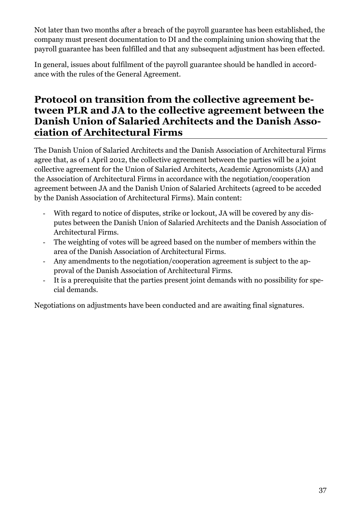Not later than two months after a breach of the payroll guarantee has been established, the company must present documentation to DI and the complaining union showing that the payroll guarantee has been fulfilled and that any subsequent adjustment has been effected.

In general, issues about fulfilment of the payroll guarantee should be handled in accordance with the rules of the General Agreement.

#### <span id="page-37-0"></span>**Protocol on transition from the collective agreement between PLR and JA to the collective agreement between the Danish Union of Salaried Architects and the Danish Association of Architectural Firms**

The Danish Union of Salaried Architects and the Danish Association of Architectural Firms agree that, as of 1 April 2012, the collective agreement between the parties will be a joint collective agreement for the Union of Salaried Architects, Academic Agronomists (JA) and the Association of Architectural Firms in accordance with the negotiation/cooperation agreement between JA and the Danish Union of Salaried Architects (agreed to be acceded by the Danish Association of Architectural Firms). Main content:

- With regard to notice of disputes, strike or lockout, JA will be covered by any disputes between the Danish Union of Salaried Architects and the Danish Association of Architectural Firms.
- The weighting of votes will be agreed based on the number of members within the area of the Danish Association of Architectural Firms.
- Any amendments to the negotiation/cooperation agreement is subject to the approval of the Danish Association of Architectural Firms.
- It is a prerequisite that the parties present joint demands with no possibility for special demands.

Negotiations on adjustments have been conducted and are awaiting final signatures.